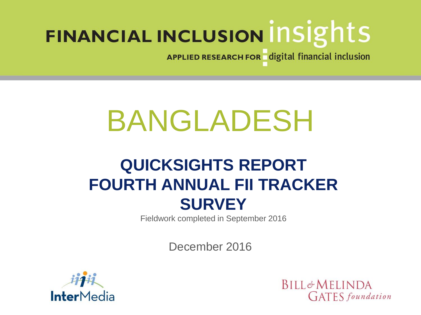APPLIED RESEARCH FOR digital financial inclusion

# BANGLADESH

# **QUICKSIGHTS REPORT FOURTH ANNUAL FII TRACKER SURVEY**

Fieldwork completed in September 2016

December 2016



**BILL&MELINDA CIATES** foundation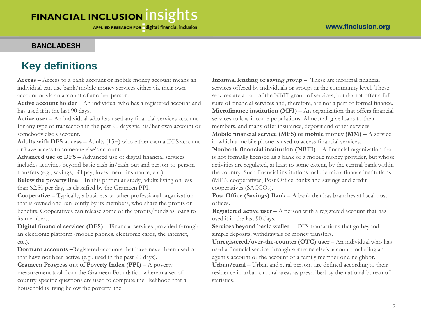#### **BANGLADESH**

# **Key definitions**

**Access** – Access to a bank account or mobile money account means an individual can use bank/mobile money services either via their own account or via an account of another person.

**Active account holder** – An individual who has a registered account and has used it in the last 90 days.

**Active user** – An individual who has used any financial services account for any type of transaction in the past 90 days via his/her own account or somebody else's account.

**Adults with DFS access** – Adults (15+) who either own a DFS account or have access to someone else's account.

**Advanced use of DFS** – Advanced use of digital financial services includes activities beyond basic cash-in/cash-out and person-to-person transfers (e.g., savings, bill pay, investment, insurance, etc.).

**Below the poverty line** – In this particular study, adults living on less than \$2.50 per day, as classified by the Grameen PPI.

**Cooperative** – Typically, a business or other professional organization that is owned and run jointly by its members, who share the profits or benefits. Cooperatives can release some of the profits/funds as loans to its members.

**Digital financial services (DFS)** – Financial services provided through an electronic platform (mobile phones, electronic cards, the internet, etc.).

**Dormant accounts –**Registered accounts that have never been used or that have not been active (e.g., used in the past 90 days).

**Grameen Progress out of Poverty Index (PPI)** – A poverty measurement tool from the Grameen Foundation wherein a set of country-specific questions are used to compute the likelihood that a household is living below the poverty line.

**Informal lending or saving group** – These are informal financial services offered by individuals or groups at the community level. These services are a part of the NBFI group of services, but do not offer a full suite of financial services and, therefore, are not a part of formal finance. **Microfinance institution (MFI)** – An organization that offers financial services to low-income populations. Almost all give loans to their members, and many offer insurance, deposit and other services.

**Mobile financial service (MFS) or mobile money (MM)** – A service in which a mobile phone is used to access financial services.

**Nonbank financial institution (NBFI)** – A financial organization that is not formally licensed as a bank or a mobile money provider, but whose activities are regulated, at least to some extent, by the central bank within the country. Such financial institutions include microfinance institutions (MFI), cooperatives, Post Office Banks and savings and credit cooperatives (SACCOs).

**Post Office (Savings) Bank** – A bank that has branches at local post offices.

**Registered active user** – A person with a registered account that has used it in the last 90 days.

**Services beyond basic wallet** – DFS transactions that go beyond simple deposits, withdrawals or money transfers.

**Unregistered/over-the-counter (OTC) user** – An individual who has used a financial service through someone else's account, including an agent's account or the account of a family member or a neighbor.

**Urban/rural** – Urban and rural persons are defined according to their residence in urban or rural areas as prescribed by the national bureau of statistics.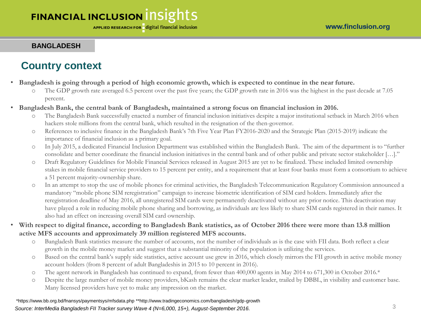#### **BANGLADESH**

# **Country context**

- **Bangladesh is going through a period of high economic growth, which is expected to continue in the near future.**
	- The GDP growth rate averaged 6.5 percent over the past five years; the GDP growth rate in 2016 was the highest in the past decade at 7.05 percent.
- **Bangladesh Bank, the central bank of Bangladesh, maintained a strong focus on financial inclusion in 2016.** 
	- o The Bangladesh Bank successfully enacted a number of financial inclusion initiatives despite a major institutional setback in March 2016 when hackers stole millions from the central bank, which resulted in the resignation of the then-governor.
	- o References to inclusive finance in the Bangladesh Bank's 7th Five Year Plan FY2016-2020 and the Strategic Plan (2015-2019) indicate the importance of financial inclusion as a primary goal.
	- o In July 2015, a dedicated Financial Inclusion Department was established within the Bangladesh Bank. The aim of the department is to "further consolidate and better coordinate the financial inclusion initiatives in the central bank and of other public and private sector stakeholder […]."
	- o Draft Regulatory Guidelines for Mobile Financial Services released in August 2015 are yet to be finalized. These included limited ownership stakes in mobile financial service providers to 15 percent per entity, and a requirement that at least four banks must form a consortium to achieve a 51 percent majority-ownership share.
	- o In an attempt to stop the use of mobile phones for criminal activities, the Bangladesh Telecommunication Regulatory Commission announced a mandatory "mobile phone SIM reregistration" campaign to increase biometric identification of SIM card holders. Immediately after the reregistration deadline of May 2016, all unregistered SIM cards were permanently deactivated without any prior notice. This deactivation may have played a role in reducing mobile phone sharing and borrowing, as individuals are less likely to share SIM cards registered in their names. It also had an effect on increasing overall SIM card ownership.
- **With respect to digital finance, according to Bangladesh Bank statistics, as of October 2016 there were more than 13.8 million active MFS accounts and approximately 39 million registered MFS accounts.**
	- o Bangladesh Bank statistics measure the number of accounts, not the number of individuals as is the case with FII data. Both reflect a clear growth in the mobile money market and suggest that a substantial minority of the population is utilizing the services.
	- o Based on the central bank's supply side statistics, active account use grew in 2016, which closely mirrors the FII growth in active mobile money account holders (from 8 percent of adult Bangladeshis in 2015 to 10 percent in 2016).
	- o The agent network in Bangladesh has continued to expand, from fewer than 400,000 agents in May 2014 to 671,300 in October 2016.\*
	- o Despite the large number of mobile money providers, bKash remains the clear market leader, trailed by DBBL, in visibility and customer base. Many licensed providers have yet to make any impression on the market.

*Source: InterMedia Bangladesh FII Tracker survey Wave 4 (N=6,000, 15+), August-September 2016.* 3 \*https://www.bb.org.bd/fnansys/paymentsys/mfsdata.php \*\*http://www.tradingeconomics.com/bangladesh/gdp-growth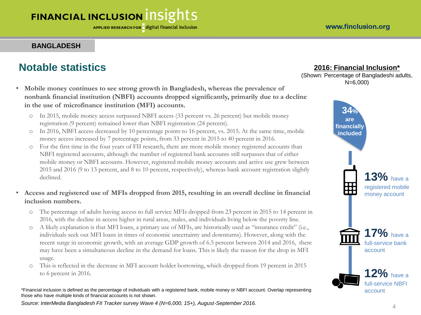#### **BANGLADESH**

### **Notable statistics**

- **Mobile money continues to see strong growth in Bangladesh, whereas the prevalence of nonbank financial institution (NBFI) accounts dropped significantly, primarily due to a decline in the use of microfinance institution (MFI) accounts.** 
	- o In 2015, mobile money access surpassed NBFI access (33 percent vs. 26 percent) but mobile money registration (9 percent) remained lower than NBFI registration (24 percent).
	- o In 2016, NBFI access decreased by 10 percentage points to 16 percent, vs. 2015. At the same time, mobile money access increased by 7 percentage points, from 33 percent in 2015 to 40 percent in 2016.
	- o For the first time in the four years of FII research, there are more mobile money registered accounts than NBFI registered accounts, although the number of registered bank accounts still surpasses that of either mobile money or NBFI accounts. However, registered mobile money accounts and active use grew between 2015 and 2016 (9 to 13 percent, and 8 to 10 percent, respectively), whereas bank account registration slightly declined.

#### • **Access and registered use of MFIs dropped from 2015, resulting in an overall decline in financial inclusion numbers.**

- o The percentage of adults having access to full service MFIs dropped from 23 percent in 2015 to 14 percent in 2016, with the decline in access higher in rural areas, males, and individuals living below the poverty line.
- o A likely explanation is that MFI loans, a primary use of MFIs, are historically used as "insurance credit" (i.e., individuals seek out MFI loans in times of economic uncertainty and downturns). However, along with the recent surge in economic growth, with an average GDP growth of 6.5 percent between 2014 and 2016, there may have been a simultaneous decline in the demand for loans. This is likely the reason for the drop in MFI usage.
- o This is reflected in the decrease in MFI account holder borrowing, which dropped from 19 percent in 2015 to 6 percent in 2016.

\*Financial inclusion is defined as the percentage of individuals with a registered bank, mobile money or NBFI account. Overlap representing those who have multiple kinds of financial accounts is not shown.

*Source: InterMedia Bangladesh FII Tracker survey Wave 4 (N=6,000, 15+), August-September 2016.* <sup>4</sup>

#### **2016: Financial Inclusion\***

(Shown: Percentage of Bangladeshi adults, N=6,000)

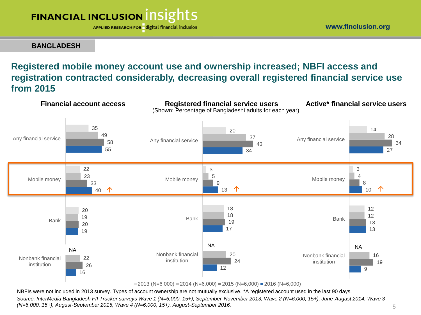APPLIED RESEARCH FOR digital financial inclusion

www.finclusion.org

**BANGLADESH**

### **Registered mobile money account use and ownership increased; NBFI access and registration contracted considerably, decreasing overall registered financial service use from 2015**



 $\blacksquare$  2013 (N=6,000)  $\blacksquare$  2014 (N=6,000)  $\blacksquare$  2015 (N=6,000)  $\blacksquare$  2016 (N=6,000)

NBFIs were not included in 2013 survey. Types of account ownership are not mutually exclusive. \*A registered account used in the last 90 days. *Source: InterMedia Bangladesh FII Tracker surveys Wave 1 (N=6,000, 15+), September-November 2013; Wave 2 (N=6,000, 15+), June-August 2014; Wave 3 (N=6,000, 15+), August-September 2015; Wave 4 (N=6,000, 15+), August-September 2016.* 5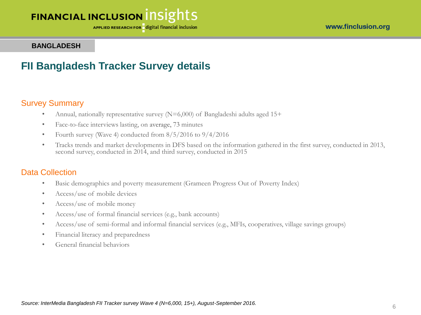APPLIED RESEARCH FOR digital financial inclusion

#### **BANGLADESH**

### **FII Bangladesh Tracker Survey details**

#### Survey Summary

- Annual, nationally representative survey (N=6,000) of Bangladeshi adults aged 15+
- Face-to-face interviews lasting, on average, 73 minutes
- Fourth survey (Wave 4) conducted from  $8/5/2016$  to  $9/4/2016$
- Tracks trends and market developments in DFS based on the information gathered in the first survey, conducted in 2013, second survey, conducted in 2014, and third survey, conducted in 2015

#### Data Collection

- Basic demographics and poverty measurement (Grameen Progress Out of Poverty Index)
- Access/use of mobile devices
- Access/use of mobile money
- Access/use of formal financial services (e.g., bank accounts)
- Access/use of semi-formal and informal financial services (e.g., MFIs, cooperatives, village savings groups)
- Financial literacy and preparedness
- General financial behaviors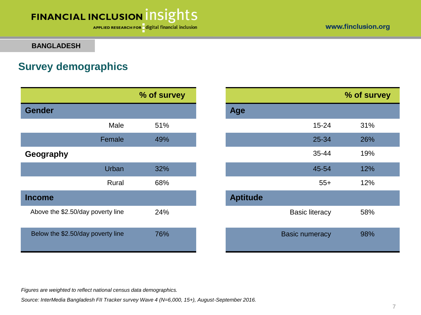#### www.finclusion.org

# FINANCIAL INCLUSION INSIGHTS

APPLIED RESEARCH FOR digital financial inclusion

**BANGLADESH**

# **Survey demographics**

|                                   | % of survey |                       |
|-----------------------------------|-------------|-----------------------|
| <b>Gender</b>                     |             | <b>Age</b>            |
| Male                              | 51%         | $15 - 24$             |
| Female                            | 49%         | 25-34                 |
| Geography                         |             | 35-44                 |
| Urban                             | 32%         | 45-54                 |
| Rural                             | 68%         | $55+$                 |
| <b>Income</b>                     |             | <b>Aptitude</b>       |
| Above the \$2.50/day poverty line | 24%         | <b>Basic literacy</b> |
| Below the \$2.50/day poverty line | 76%         | <b>Basic numeracy</b> |

|           | % of survey |                 |                       | % of survey |
|-----------|-------------|-----------------|-----------------------|-------------|
|           |             | Age             |                       |             |
| Male      | 51%         |                 | $15 - 24$             | 31%         |
| Female    | 49%         |                 | 25-34                 | 26%         |
|           |             |                 | 35-44                 | 19%         |
| Urban     | 32%         |                 | 45-54                 | 12%         |
| Rural     | 68%         |                 | $55+$                 | 12%         |
|           |             | <b>Aptitude</b> |                       |             |
| erty line | 24%         |                 | <b>Basic literacy</b> | 58%         |
| erty line | 76%         |                 | <b>Basic numeracy</b> | 98%         |

*Figures are weighted to reflect national census data demographics.*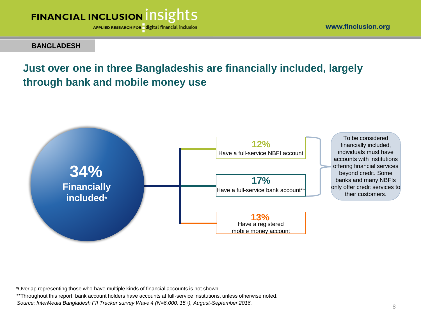

APPLIED RESEARCH FOR digital financial inclusion

**BANGLADESH**

# **Just over one in three Bangladeshis are financially included, largely through bank and mobile money use**



\*Overlap representing those who have multiple kinds of financial accounts is not shown.

\*\*Throughout this report, bank account holders have accounts at full-service institutions, unless otherwise noted.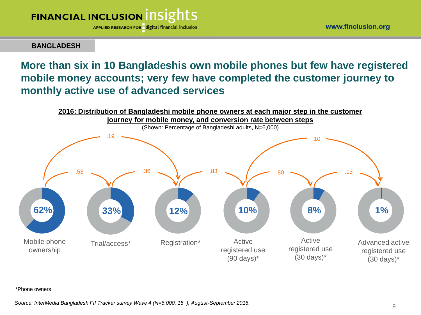

www.finclusion.org

**BANGLADESH**

### **More than six in 10 Bangladeshis own mobile phones but few have registered mobile money accounts; very few have completed the customer journey to monthly active use of advanced services**



\*Phone owners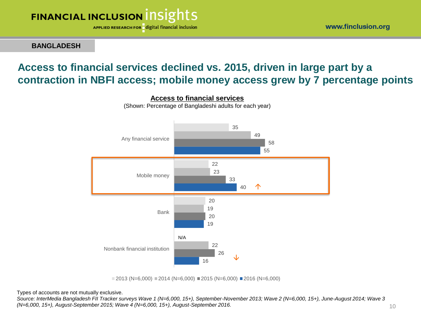

**BANGLADESH**

# **Access to financial services declined vs. 2015, driven in large part by a contraction in NBFI access; mobile money access grew by 7 percentage points**



**Access to financial services** (Shown: Percentage of Bangladeshi adults for each year)

 $\Box$  2013 (N=6,000)  $\Box$  2014 (N=6,000)  $\Box$  2015 (N=6,000)  $\Box$  2016 (N=6,000)

Types of accounts are not mutually exclusive.

*Source: InterMedia Bangladesh FII Tracker surveys Wave 1 (N=6,000, 15+), September-November 2013; Wave 2 (N=6,000, 15+), June-August 2014; Wave 3 (N=6,000, 15+), August-September 2015; Wave 4 (N=6,000, 15+), August-September 2016.* 10

www.finclusion.org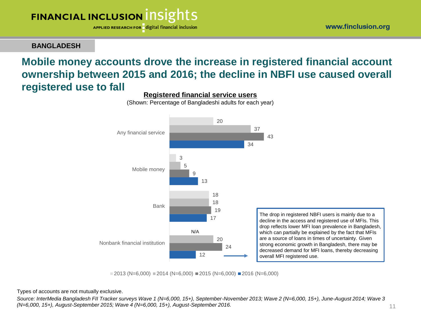APPLIED RESEARCH FOR digital financial inclusion

**BANGLADESH**

### **Mobile money accounts drove the increase in registered financial account ownership between 2015 and 2016; the decline in NBFI use caused overall registered use to fall**



**Registered financial service users** (Shown: Percentage of Bangladeshi adults for each year)

 $\blacksquare$  2013 (N=6,000)  $\blacksquare$  2014 (N=6,000)  $\blacksquare$  2015 (N=6,000)  $\blacksquare$  2016 (N=6,000)

Types of accounts are not mutually exclusive.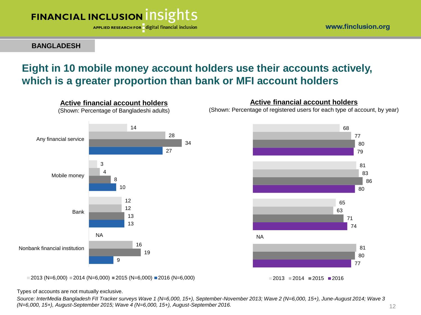

**BANGLADESH**

#### www.finclusion.org

### **Eight in 10 mobile money account holders use their accounts actively, which is a greater proportion than bank or MFI account holders**



 $\blacksquare$  2013 (N=6,000)  $\blacksquare$  2014 (N=6,000)  $\blacksquare$  2015 (N=6,000)  $\blacksquare$  2016 (N=6,000)

**Active financial account holders**

(Shown: Percentage of registered users for each type of account, by year)



Types of accounts are not mutually exclusive.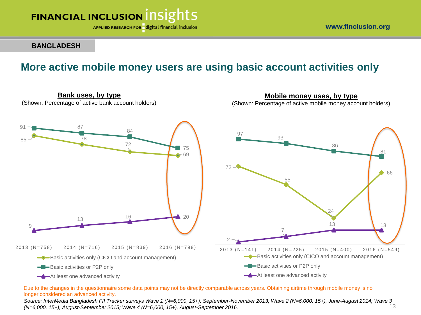

**Bank uses, by type**

APPLIED RESEARCH FOR digital financial inclusion

www.finclusion.org

**Mobile money uses, by type**

#### **BANGLADESH**

### **More active mobile money users are using basic account activities only**



Due to the changes in the questionnaire some data points may not be directly comparable across years. Obtaining airtime through mobile money is no longer considered an advanced activity.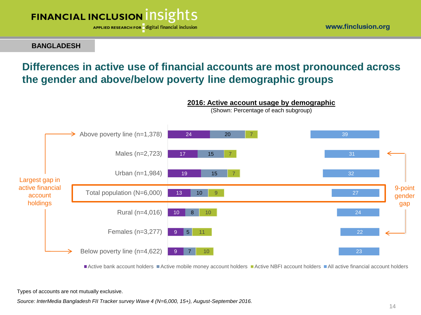

www.finclusion.org

#### **BANGLADESH**

# **Differences in active use of financial accounts are most pronounced across the gender and above/below poverty line demographic groups**



Active bank account holders Active mobile money account holders Active NBFI account holders All active financial account holders

**2016: Active account usage by demographic**

Types of accounts are not mutually exclusive.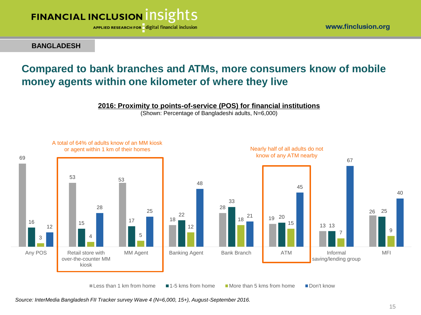

**BANGLADESH**

### **Compared to bank branches and ATMs, more consumers know of mobile money agents within one kilometer of where they live**

#### **2016: Proximity to points-of-service (POS) for financial institutions**

(Shown: Percentage of Bangladeshi adults, N=6,000)

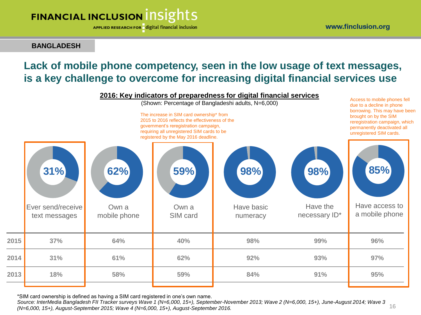APPLIED RESEARCH FOR digital financial inclusion

**BANGLADESH**

## **Lack of mobile phone competency, seen in the low usage of text messages, is a key challenge to overcome for increasing digital financial services use**



\*SIM card ownership is defined as having a SIM card registered in one's own name.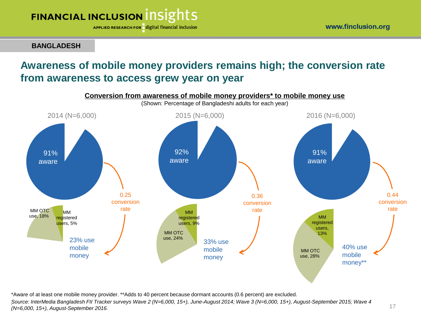17

# **FINANCIAL INCLUSION INSIGHTS**

APPLIED RESEARCH FOR digital financial inclusion

**BANGLADESH**

### **Awareness of mobile money providers remains high; the conversion rate from awareness to access grew year on year**



\*Aware of at least one mobile money provider. \*\*Adds to 40 percent because dormant accounts (0.6 percent) are excluded. *. Source: InterMedia Bangladesh FII Tracker surveys Wave 2 (N=6,000, 15+), June-August 2014; Wave 3 (N=6,000, 15+), August-September 2015; Wave 4 (N=6,000, 15+), August-September 2016.*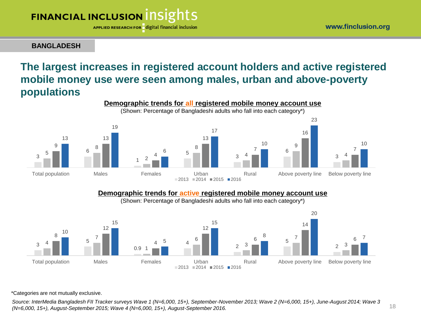APPLIED RESEARCH FOR digital financial inclusion

**BANGLADESH**

# **The largest increases in registered account holders and active registered mobile money use were seen among males, urban and above-poverty populations**



#### **Demographic trends for active registered mobile money account use**

(Shown: Percentage of Bangladeshi adults who fall into each category\*)



\*Categories are not mutually exclusive.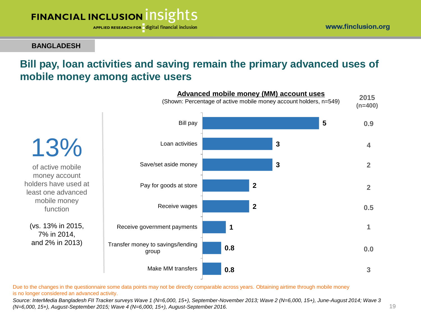19

# FINANCIAL INCLUSION INSIGHTS

APPLIED RESEARCH FOR digital financial inclusion

**BANGLADESH**

### **Bill pay, loan activities and saving remain the primary advanced uses of mobile money among active users**



Due to the changes in the questionnaire some data points may not be directly comparable across years. Obtaining airtime through mobile money is no longer considered an advanced activity.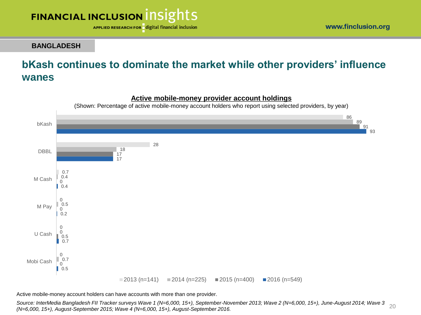

www.finclusion.org

**BANGLADESH**

# **bKash continues to dominate the market while other providers' influence wanes**



#### **Active mobile-money provider account holdings**

Active mobile-money account holders can have accounts with more than one provider.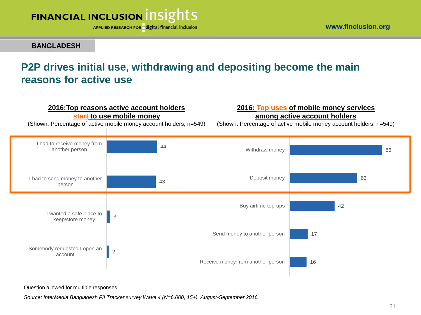

www.finclusion.org

#### **BANGLADESH**

# **P2P drives initial use, withdrawing and depositing become the main reasons for active use**



Question allowed for multiple responses.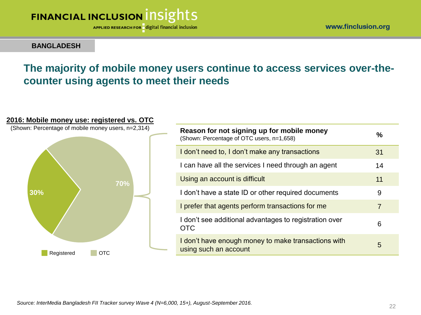APPLIED RESEARCH FOR digital financial inclusion

**BANGLADESH**

# **The majority of mobile money users continue to access services over-thecounter using agents to meet their needs**



# **Reason for not signing up for mobile money** (Shown: Percentage of OTC users, n=1,658) **%** I don't need to, I don't make any transactions 31 I can have all the services I need through an agent 14 Using an account is difficult 11 and 11 and 11 and 11 and 11 and 11 and 11 and 11 and 11 and 11 and 11 and 11 and 11 and 11 and 11 and 11 and 11 and 11 and 11 and 11 and 11 and 11 and 11 and 11 and 11 and 11 and 11 and 11 I don't have a state ID or other required documents 9 I prefer that agents perform transactions for me I don't see additional advantages to registration over OTC <sup>6</sup> I don't have enough money to make transactions with The contribution of the contract and sections with the state state of the state of the state of the state of the state of the state of the state of the state of the state of the state of the state of the state of the state

**2016: Mobile money use: registered vs. OTC**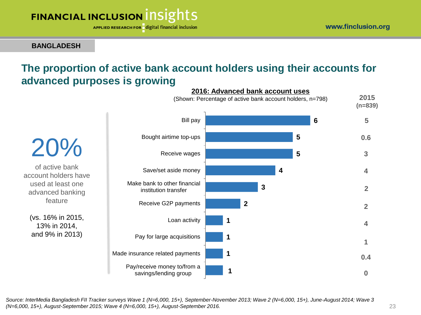APPLIED RESEARCH FOR digital financial inclusion

**BANGLADESH**

### **The proportion of active bank account holders using their accounts for advanced purposes is growing**

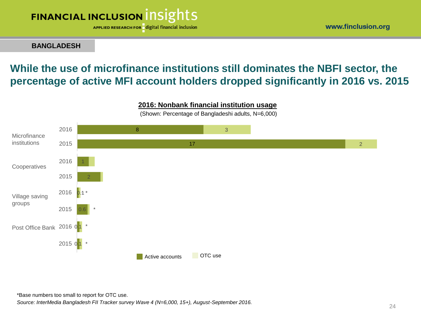APPLIED RESEARCH FOR digital financial inclusion

**BANGLADESH**

## **While the use of microfinance institutions still dominates the NBFI sector, the percentage of active MFI account holders dropped significantly in 2016 vs. 2015**



**2016: Nonbank financial institution usage**

(Shown: Percentage of Bangladeshi adults, N=6,000)

*Source: InterMedia Bangladesh FII Tracker survey Wave 4 (N=6,000, 15+), August-September 2016.* \*Base numbers too small to report for OTC use.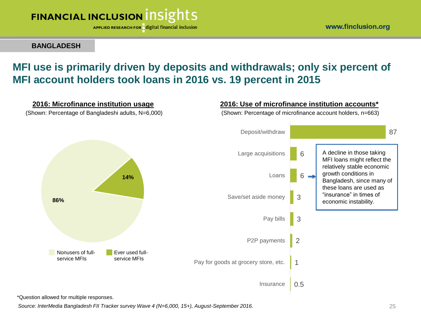

**BANGLADESH**

### **MFI use is primarily driven by deposits and withdrawals; only six percent of MFI account holders took loans in 2016 vs. 19 percent in 2015**



\*Question allowed for multiple responses.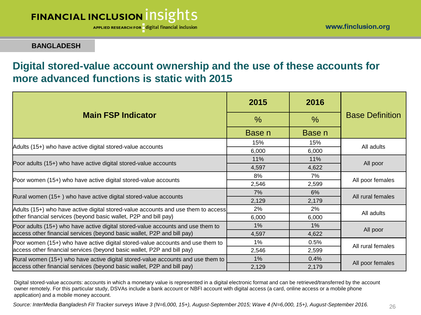APPLIED RESEARCH FOR digital financial inclusion

**BANGLADESH**

### **Digital stored-value account ownership and the use of these accounts for more advanced functions is static with 2015**

|                                                                                   | 2015          | 2016          | <b>Base Definition</b> |  |
|-----------------------------------------------------------------------------------|---------------|---------------|------------------------|--|
| <b>Main FSP Indicator</b>                                                         | $\frac{0}{0}$ | $\frac{0}{0}$ |                        |  |
|                                                                                   | Base n        | Base n        |                        |  |
| Adults (15+) who have active digital stored-value accounts                        | 15%           | 15%           | All adults             |  |
|                                                                                   | 6,000         | 6,000         |                        |  |
|                                                                                   | 11%           | 11%           | All poor               |  |
| Poor adults (15+) who have active digital stored-value accounts                   | 4,597         | 4,622         |                        |  |
|                                                                                   | 8%            | 7%            | All poor females       |  |
| Poor women (15+) who have active digital stored-value accounts                    | 2,546         | 2,599         |                        |  |
|                                                                                   | 7%            | 6%            | All rural females      |  |
| Rural women (15+) who have active digital stored-value accounts                   | 2,129         | 2,179         |                        |  |
| Adults (15+) who have active digital stored-value accounts and use them to access | 2%            | 2%            | All adults             |  |
| other financial services (beyond basic wallet, P2P and bill pay)                  | 6,000         | 6,000         |                        |  |
| Poor adults (15+) who have active digital stored-value accounts and use them to   | $1\%$         | $1\%$         |                        |  |
| access other financial services (beyond basic wallet, P2P and bill pay)           | 4,597         | 4,622         | All poor               |  |
| Poor women (15+) who have active digital stored-value accounts and use them to    | 1%            | 0.5%          | All rural females      |  |
| access other financial services (beyond basic wallet, P2P and bill pay)           | 2,546         | 2,599         |                        |  |
| Rural women (15+) who have active digital stored-value accounts and use them to   | 1%            | 0.4%          |                        |  |
| access other financial services (beyond basic wallet, P2P and bill pay)           | 2,129         | 2,179         | All poor females       |  |

Digital stored-value accounts: accounts in which a monetary value is represented in a digital electronic format and can be retrieved/transferred by the account owner remotely. For this particular study, DSVAs include a bank account or NBFI account with digital access (a card, online access or a mobile phone application) and a mobile money account.

*Source: InterMedia Bangladesh FII Tracker surveys Wave 3 (N=6,000, 15+), August-September 2015; Wave 4 (N=6,000, 15+), August-September 2016.*